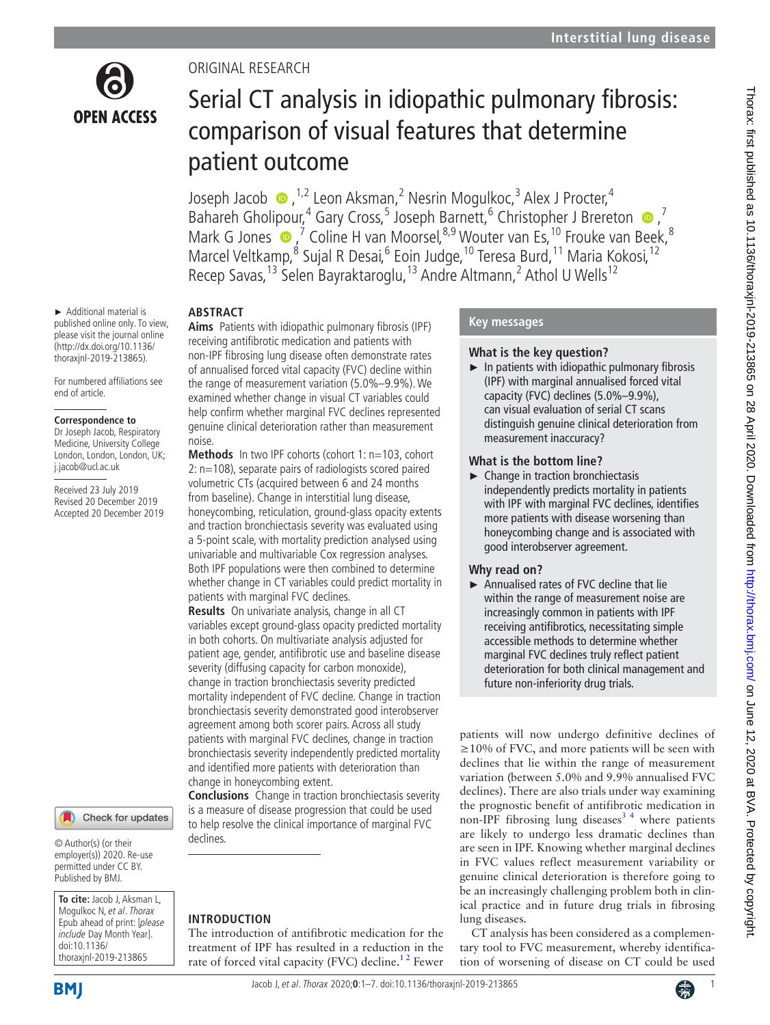

► Additional material is published online only. To view, please visit the journal online (http://dx.doi.org/10.1136/ thoraxjnl-2019-213865). For numbered affiliations see

end of article.

**Correspondence to** Dr Joseph Jacob, Respiratory Medicine, University College London, London, London, UK;

j.jacob@ucl.ac.uk Received 23 July 2019 Revised 20 December 2019 Accepted 20 December 2019

# Original research

# Serial CT analysis in idiopathic pulmonary fibrosis: comparison of visual features that determine patient outcome

JosephJacob  $\bullet$ , <sup>1,2</sup> Leon Aksman,<sup>2</sup> Nesrin Mogulkoc,<sup>3</sup> Alex J Procter,<sup>4</sup> BaharehGholipour,<sup>4</sup> Gary Cross,<sup>5</sup> Joseph Barnett,<sup>6</sup> Christopher J Brereton  $\bullet$ ,<sup>7</sup> MarkG Jones  $\bullet$ ,<sup>7</sup> Coline H van Moorsel,<sup>8,9</sup> Wouter van Es,<sup>10</sup> Frouke van Beek,<sup>8</sup> Marcel Veltkamp,<sup>8</sup> Sujal R Desai,<sup>6</sup> Eoin Judge,<sup>10</sup> Teresa Burd,<sup>11</sup> Maria Kokosi,<sup>12</sup> Recep Savas,<sup>13</sup> Selen Bayraktaroglu,<sup>13</sup> Andre Altmann,<sup>2</sup> Athol U Wells<sup>12</sup>

# **Abstract**

**Aims** Patients with idiopathic pulmonary fibrosis (IPF) receiving antifibrotic medication and patients with non-IPF fibrosing lung disease often demonstrate rates of annualised forced vital capacity (FVC) decline within the range of measurement variation (5.0%–9.9%). We examined whether change in visual CT variables could help confirm whether marginal FVC declines represented genuine clinical deterioration rather than measurement noise.

**Methods** In two IPF cohorts (cohort 1: n=103, cohort 2: n=108), separate pairs of radiologists scored paired volumetric CTs (acquired between 6 and 24 months from baseline). Change in interstitial lung disease, honeycombing, reticulation, ground-glass opacity extents and traction bronchiectasis severity was evaluated using a 5-point scale, with mortality prediction analysed using univariable and multivariable Cox regression analyses. Both IPF populations were then combined to determine whether change in CT variables could predict mortality in patients with marginal FVC declines.

**Results** On univariate analysis, change in all CT variables except ground-glass opacity predicted mortality in both cohorts. On multivariate analysis adjusted for patient age, gender, antifibrotic use and baseline disease severity (diffusing capacity for carbon monoxide), change in traction bronchiectasis severity predicted mortality independent of FVC decline. Change in traction bronchiectasis severity demonstrated good interobserver agreement among both scorer pairs. Across all study patients with marginal FVC declines, change in traction bronchiectasis severity independently predicted mortality and identified more patients with deterioration than change in honeycombing extent.

**Conclusions** Change in traction bronchiectasis severity is a measure of disease progression that could be used to help resolve the clinical importance of marginal FVC declines.

# **Introduction**

The introduction of antifibrotic medication for the treatment of IPF has resulted in a reduction in the rate of forced vital capacity (FVC) decline.<sup>12</sup> Fewer

## **Key messages**

## **What is the key question?**

 $\blacktriangleright$  In patients with idiopathic pulmonary fibrosis (IPF) with marginal annualised forced vital capacity (FVC) declines (5.0%–9.9%), can visual evaluation of serial CT scans distinguish genuine clinical deterioration from measurement inaccuracy?

## **What is the bottom line?**

► Change in traction bronchiectasis independently predicts mortality in patients with IPF with marginal FVC declines, identifies more patients with disease worsening than honeycombing change and is associated with good interobserver agreement.

# **Why read on?**

► Annualised rates of FVC decline that lie within the range of measurement noise are increasingly common in patients with IPF receiving antifibrotics, necessitating simple accessible methods to determine whether marginal FVC declines truly reflect patient deterioration for both clinical management and future non-inferiority drug trials.

patients will now undergo definitive declines of ≥10% of FVC, and more patients will be seen with declines that lie within the range of measurement variation (between 5.0% and 9.9% annualised FVC declines). There are also trials under way examining the prognostic benefit of antifibrotic medication in non-IPF fibrosing lung diseases<sup>34</sup> where patients are likely to undergo less dramatic declines than are seen in IPF. Knowing whether marginal declines in FVC values reflect measurement variability or genuine clinical deterioration is therefore going to be an increasingly challenging problem both in clinical practice and in future drug trials in fibrosing lung diseases.

CT analysis has been considered as a complementary tool to FVC measurement, whereby identification of worsening of disease on CT could be used

Jacob J, et al. Thorax 2020;**0**:1–7. doi:10.1136/thoraxjnl-2019-2138651



**To cite:** Jacob J, Aksman L, Mogulkoc N, et al. Thorax Epub ahead of print: [please include Day Month Year]. doi:10.1136/ thoraxjnl-2019-213865

Check for updates

© Author(s) (or their employer(s)) 2020. Re-use permitted under CC BY. Published by BMJ.

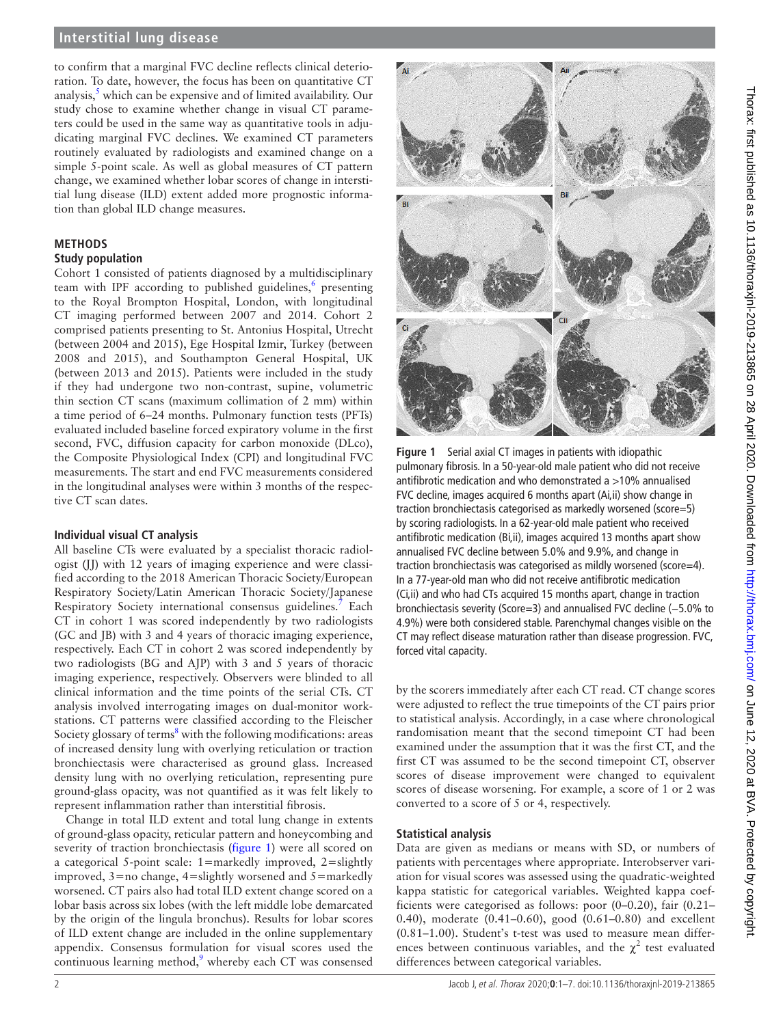# **Interstitial lung disease**

to confirm that a marginal FVC decline reflects clinical deterioration. To date, however, the focus has been on quantitative CT analysis,<sup>[5](#page-6-2)</sup> which can be expensive and of limited availability. Our study chose to examine whether change in visual CT parameters could be used in the same way as quantitative tools in adjudicating marginal FVC declines. We examined CT parameters routinely evaluated by radiologists and examined change on a simple 5-point scale. As well as global measures of CT pattern change, we examined whether lobar scores of change in interstitial lung disease (ILD) extent added more prognostic information than global ILD change measures.

## **Methods**

## **Study population**

Cohort 1 consisted of patients diagnosed by a multidisciplinary team with IPF according to published guidelines, $6$  presenting to the Royal Brompton Hospital, London, with longitudinal CT imaging performed between 2007 and 2014. Cohort 2 comprised patients presenting to St. Antonius Hospital, Utrecht (between 2004 and 2015), Ege Hospital Izmir, Turkey (between 2008 and 2015), and Southampton General Hospital, UK (between 2013 and 2015). Patients were included in the study if they had undergone two non-contrast, supine, volumetric thin section CT scans (maximum collimation of 2 mm) within a time period of 6–24 months. Pulmonary function tests (PFTs) evaluated included baseline forced expiratory volume in the first second, FVC, diffusion capacity for carbon monoxide (DLco), the Composite Physiological Index (CPI) and longitudinal FVC measurements. The start and end FVC measurements considered in the longitudinal analyses were within 3 months of the respective CT scan dates.

## **Individual visual CT analysis**

All baseline CTs were evaluated by a specialist thoracic radiologist (JJ) with 12 years of imaging experience and were classified according to the 2018 American Thoracic Society/European Respiratory Society/Latin American Thoracic Society/Japanese Respiratory Society international consensus guidelines.<sup>[7](#page-6-4)</sup> Each CT in cohort 1 was scored independently by two radiologists (GC and JB) with 3 and 4 years of thoracic imaging experience, respectively. Each CT in cohort 2 was scored independently by two radiologists (BG and AJP) with 3 and 5 years of thoracic imaging experience, respectively. Observers were blinded to all clinical information and the time points of the serial CTs. CT analysis involved interrogating images on dual-monitor workstations. CT patterns were classified according to the Fleischer Society glossary of terms<sup>[8](#page-6-5)</sup> with the following modifications: areas of increased density lung with overlying reticulation or traction bronchiectasis were characterised as ground glass. Increased density lung with no overlying reticulation, representing pure ground-glass opacity, was not quantified as it was felt likely to represent inflammation rather than interstitial fibrosis.

Change in total ILD extent and total lung change in extents of ground-glass opacity, reticular pattern and honeycombing and severity of traction bronchiectasis [\(figure](#page-1-0) 1) were all scored on a categorical 5-point scale: 1=markedly improved, 2=slightly improved, 3=no change, 4=slightly worsened and 5=markedly worsened. CT pairs also had total ILD extent change scored on a lobar basis across six lobes (with the left middle lobe demarcated by the origin of the lingula bronchus). Results for lobar scores of ILD extent change are included in the [online supplementary](https://dx.doi.org/10.1136/thoraxjnl-2019-213865)  [appendix.](https://dx.doi.org/10.1136/thoraxjnl-2019-213865) Consensus formulation for visual scores used the continuous learning method, $9$  whereby each CT was consensed



**Figure 1** Serial axial CT images in patients with idiopathic pulmonary fibrosis. In a 50-year-old male patient who did not receive antifibrotic medication and who demonstrated a >10% annualised FVC decline, images acquired 6 months apart (Ai,ii) show change in traction bronchiectasis categorised as markedly worsened (score=5) by scoring radiologists. In a 62-year-old male patient who received antifibrotic medication (Bi,ii), images acquired 13 months apart show annualised FVC decline between 5.0% and 9.9%, and change in traction bronchiectasis was categorised as mildly worsened (score=4). In a 77-year-old man who did not receive antifibrotic medication (Ci,ii) and who had CTs acquired 15 months apart, change in traction bronchiectasis severity (Score=3) and annualised FVC decline (−5.0% to 4.9%) were both considered stable. Parenchymal changes visible on the CT may reflect disease maturation rather than disease progression. FVC, forced vital capacity.

<span id="page-1-0"></span>by the scorers immediately after each CT read. CT change scores were adjusted to reflect the true timepoints of the CT pairs prior to statistical analysis. Accordingly, in a case where chronological randomisation meant that the second timepoint CT had been examined under the assumption that it was the first CT, and the first CT was assumed to be the second timepoint CT, observer scores of disease improvement were changed to equivalent scores of disease worsening. For example, a score of 1 or 2 was converted to a score of 5 or 4, respectively.

## **Statistical analysis**

Data are given as medians or means with SD, or numbers of patients with percentages where appropriate. Interobserver variation for visual scores was assessed using the quadratic-weighted kappa statistic for categorical variables. Weighted kappa coefficients were categorised as follows: poor (0–0.20), fair (0.21– 0.40), moderate (0.41–0.60), good (0.61–0.80) and excellent (0.81–1.00). Student's t-test was used to measure mean differences between continuous variables, and the  $\chi^2$  test evaluated differences between categorical variables.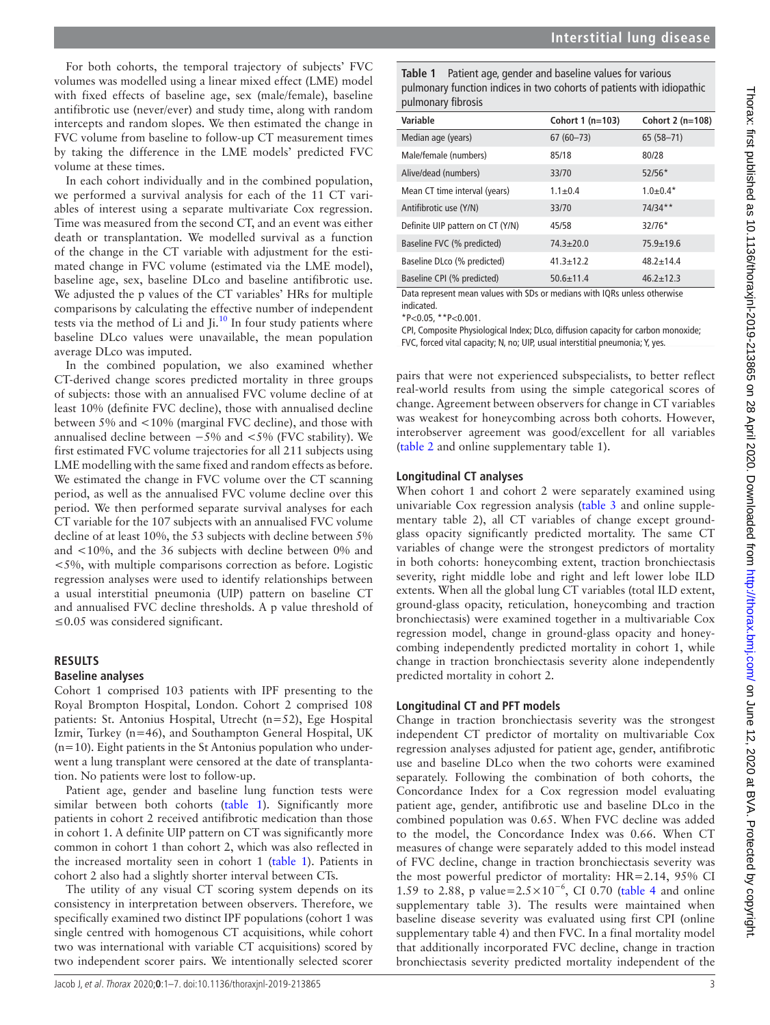For both cohorts, the temporal trajectory of subjects' FVC volumes was modelled using a linear mixed effect (LME) model with fixed effects of baseline age, sex (male/female), baseline antifibrotic use (never/ever) and study time, along with random intercepts and random slopes. We then estimated the change in FVC volume from baseline to follow-up CT measurement times by taking the difference in the LME models' predicted FVC volume at these times.

In each cohort individually and in the combined population, we performed a survival analysis for each of the 11 CT variables of interest using a separate multivariate Cox regression. Time was measured from the second CT, and an event was either death or transplantation. We modelled survival as a function of the change in the CT variable with adjustment for the estimated change in FVC volume (estimated via the LME model), baseline age, sex, baseline DLco and baseline antifibrotic use. We adjusted the p values of the CT variables' HRs for multiple comparisons by calculating the effective number of independent tests via the method of Li and  $Ji$ .<sup>[10](#page-6-7)</sup> In four study patients where baseline DLco values were unavailable, the mean population average DLco was imputed.

In the combined population, we also examined whether CT-derived change scores predicted mortality in three groups of subjects: those with an annualised FVC volume decline of at least 10% (definite FVC decline), those with annualised decline between 5% and <10% (marginal FVC decline), and those with annualised decline between −5% and <5% (FVC stability). We first estimated FVC volume trajectories for all 211 subjects using LME modelling with the same fixed and random effects as before. We estimated the change in FVC volume over the CT scanning period, as well as the annualised FVC volume decline over this period. We then performed separate survival analyses for each CT variable for the 107 subjects with an annualised FVC volume decline of at least 10%, the 53 subjects with decline between 5% and <10%, and the 36 subjects with decline between 0% and <5%, with multiple comparisons correction as before. Logistic regression analyses were used to identify relationships between a usual interstitial pneumonia (UIP) pattern on baseline CT and annualised FVC decline thresholds. A p value threshold of ≤0.05 was considered significant.

#### **Results**

#### **Baseline analyses**

Cohort 1 comprised 103 patients with IPF presenting to the Royal Brompton Hospital, London. Cohort 2 comprised 108 patients: St. Antonius Hospital, Utrecht (n=52), Ege Hospital Izmir, Turkey (n=46), and Southampton General Hospital, UK  $(n=10)$ . Eight patients in the St Antonius population who underwent a lung transplant were censored at the date of transplantation. No patients were lost to follow-up.

Patient age, gender and baseline lung function tests were similar between both cohorts ([table](#page-2-0) 1). Significantly more patients in cohort 2 received antifibrotic medication than those in cohort 1. A definite UIP pattern on CT was significantly more common in cohort 1 than cohort 2, which was also reflected in the increased mortality seen in cohort 1 [\(table](#page-2-0) 1). Patients in cohort 2 also had a slightly shorter interval between CTs.

The utility of any visual CT scoring system depends on its consistency in interpretation between observers. Therefore, we specifically examined two distinct IPF populations (cohort 1 was single centred with homogenous CT acquisitions, while cohort two was international with variable CT acquisitions) scored by two independent scorer pairs. We intentionally selected scorer

<span id="page-2-0"></span>**Table 1** Patient age, gender and baseline values for various pulmonary function indices in two cohorts of patients with idiopathic pulmonary fibrosis

| Variable                         | Cohort 1 (n=103) | Cohort 2 (n=108) |
|----------------------------------|------------------|------------------|
| Median age (years)               | $67(60 - 73)$    | $65(58 - 71)$    |
| Male/female (numbers)            | 85/18            | 80/28            |
| Alive/dead (numbers)             | 33/70            | $52/56*$         |
| Mean CT time interval (years)    | $1.1 \pm 0.4$    | $1.0 \pm 0.4*$   |
| Antifibrotic use (Y/N)           | 33/70            | 74/34**          |
| Definite UIP pattern on CT (Y/N) | 45/58            | 32/76*           |
| Baseline FVC (% predicted)       | $74.3 \pm 20.0$  | $75.9 \pm 19.6$  |
| Baseline DLco (% predicted)      | $41.3 \pm 12.2$  | $48.2 \pm 14.4$  |
| Baseline CPI (% predicted)       | $50.6 \pm 11.4$  | $46.2 + 12.3$    |

Data represent mean values with SDs or medians with IQRs unless otherwise indicated.

\*P<0.05, \*\*P<0.001.

CPI, Composite Physiological Index; DLco, diffusion capacity for carbon monoxide; FVC, forced vital capacity; N, no; UIP, usual interstitial pneumonia; Y, yes.

pairs that were not experienced subspecialists, to better reflect real-world results from using the simple categorical scores of change. Agreement between observers for change in CT variables was weakest for honeycombing across both cohorts. However, interobserver agreement was good/excellent for all variables ([table](#page-3-0) 2 and [online supplementary table 1\)](https://dx.doi.org/10.1136/thoraxjnl-2019-213865).

#### **Longitudinal CT analyses**

When cohort 1 and cohort 2 were separately examined using univariable Cox regression analysis [\(table](#page-3-1) 3 and [online supple](https://dx.doi.org/10.1136/thoraxjnl-2019-213865)[mentary table 2\)](https://dx.doi.org/10.1136/thoraxjnl-2019-213865), all CT variables of change except groundglass opacity significantly predicted mortality. The same CT variables of change were the strongest predictors of mortality in both cohorts: honeycombing extent, traction bronchiectasis severity, right middle lobe and right and left lower lobe ILD extents. When all the global lung CT variables (total ILD extent, ground-glass opacity, reticulation, honeycombing and traction bronchiectasis) were examined together in a multivariable Cox regression model, change in ground-glass opacity and honeycombing independently predicted mortality in cohort 1, while change in traction bronchiectasis severity alone independently predicted mortality in cohort 2.

#### **Longitudinal CT and PFT models**

Change in traction bronchiectasis severity was the strongest independent CT predictor of mortality on multivariable Cox regression analyses adjusted for patient age, gender, antifibrotic use and baseline DLco when the two cohorts were examined separately. Following the combination of both cohorts, the Concordance Index for a Cox regression model evaluating patient age, gender, antifibrotic use and baseline DLco in the combined population was 0.65. When FVC decline was added to the model, the Concordance Index was 0.66. When CT measures of change were separately added to this model instead of FVC decline, change in traction bronchiectasis severity was the most powerful predictor of mortality: HR=2.14, 95% CI 1.59 to 2.88, p value= $2.5 \times 10^{-6}$ , CI 0.70 ([table](#page-3-2) 4 and [online](https://dx.doi.org/10.1136/thoraxjnl-2019-213865) [supplementary table 3\)](https://dx.doi.org/10.1136/thoraxjnl-2019-213865). The results were maintained when baseline disease severity was evaluated using first CPI [\(online](https://dx.doi.org/10.1136/thoraxjnl-2019-213865) [supplementary table 4](https://dx.doi.org/10.1136/thoraxjnl-2019-213865)) and then FVC. In a final mortality model that additionally incorporated FVC decline, change in traction bronchiectasis severity predicted mortality independent of the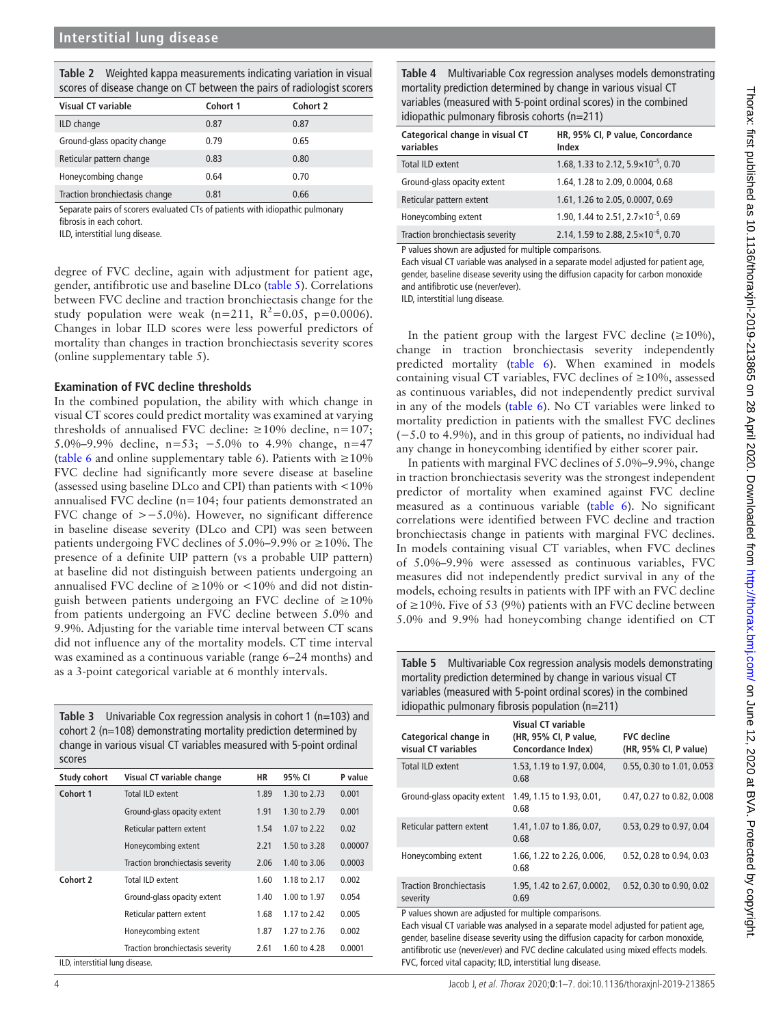# **Interstitial lung disease**

| <b>Visual CT variable</b>      | Cohort 1 | Cohort 2 |
|--------------------------------|----------|----------|
| ILD change                     | 0.87     | 0.87     |
| Ground-glass opacity change    | 0.79     | 0.65     |
| Reticular pattern change       | 0.83     | 0.80     |
| Honeycombing change            | 0.64     | 0.70     |
| Traction bronchiectasis change | 0.81     | 0.66     |

<span id="page-3-0"></span>**Table 2** Weighted kappa measurements indicating variation in visual scores of disease change on CT between the pairs of radiologist scorers

Separate pairs of scorers evaluated CTs of patients with idiopathic pulmonary fibrosis in each cohort.

ILD, interstitial lung disease.

degree of FVC decline, again with adjustment for patient age, gender, antifibrotic use and baseline DLco ([table](#page-3-3) 5). Correlations between FVC decline and traction bronchiectasis change for the study population were weak (n=211,  $R^2 = 0.05$ , p=0.0006). Changes in lobar ILD scores were less powerful predictors of mortality than changes in traction bronchiectasis severity scores ([online supplementary table 5\)](https://dx.doi.org/10.1136/thoraxjnl-2019-213865).

# **Examination of FVC decline thresholds**

In the combined population, the ability with which change in visual CT scores could predict mortality was examined at varying thresholds of annualised FVC decline: ≥10% decline, n=107; 5.0%–9.9% decline, n=53; −5.0% to 4.9% change, n=47 ([table](#page-4-0) 6 and [online supplementary table 6\)](https://dx.doi.org/10.1136/thoraxjnl-2019-213865). Patients with ≥10% FVC decline had significantly more severe disease at baseline (assessed using baseline DLco and CPI) than patients with <10% annualised FVC decline (n=104; four patients demonstrated an FVC change of >−5.0%). However, no significant difference in baseline disease severity (DLco and CPI) was seen between patients undergoing FVC declines of 5.0%–9.9% or  $\geq$ 10%. The presence of a definite UIP pattern (vs a probable UIP pattern) at baseline did not distinguish between patients undergoing an annualised FVC decline of  $\geq 10\%$  or <10% and did not distinguish between patients undergoing an FVC decline of  $\geq 10\%$ from patients undergoing an FVC decline between 5.0% and 9.9%. Adjusting for the variable time interval between CT scans did not influence any of the mortality models. CT time interval was examined as a continuous variable (range 6–24 months) and as a 3-point categorical variable at 6 monthly intervals.

<span id="page-3-1"></span>**Table 3** Univariable Cox regression analysis in cohort 1 (n=103) and cohort 2 (n=108) demonstrating mortality prediction determined by change in various visual CT variables measured with 5-point ordinal scores

| <b>Study cohort</b> | Visual CT variable change        | НR   | 95% CI       | P value |
|---------------------|----------------------------------|------|--------------|---------|
| Cohort 1            | Total ILD extent                 | 1.89 | 1.30 to 2.73 | 0.001   |
|                     | Ground-glass opacity extent      | 1.91 | 1.30 to 2.79 | 0.001   |
|                     | Reticular pattern extent         | 1.54 | 1.07 to 2.22 | 0.02    |
|                     | Honeycombing extent              | 2.21 | 1.50 to 3.28 | 0.00007 |
|                     | Traction bronchiectasis severity | 2.06 | 1.40 to 3.06 | 0.0003  |
| Cohort 2            | Total ILD extent                 | 1.60 | 1.18 to 2.17 | 0.002   |
|                     | Ground-glass opacity extent      | 1.40 | 1.00 to 1.97 | 0.054   |
|                     | Reticular pattern extent         | 1.68 | 1.17 to 2.42 | 0.005   |
|                     | Honeycombing extent              | 1.87 | 1.27 to 2.76 | 0.002   |
|                     | Traction bronchiectasis severity | 2.61 | 1.60 to 4.28 | 0.0001  |
| .<br>.              | $\cdots$                         |      |              |         |

ILD, interstitial lung disease.

<span id="page-3-2"></span>**Table 4** Multivariable Cox regression analyses models demonstrating mortality prediction determined by change in various visual CT variables (measured with 5-point ordinal scores) in the combined idiopathic pulmonary fibrosis cohorts (n=211)

| Categorical change in visual CT<br>variables          | HR, 95% CI, P value, Concordance<br>Index       |  |
|-------------------------------------------------------|-------------------------------------------------|--|
| <b>Total ILD extent</b>                               | 1.68, 1.33 to 2.12, 5.9×10 <sup>-5</sup> , 0.70 |  |
| Ground-glass opacity extent                           | 1.64, 1.28 to 2.09, 0.0004, 0.68                |  |
| Reticular pattern extent                              | 1.61, 1.26 to 2.05, 0.0007, 0.69                |  |
| Honeycombing extent                                   | 1.90, 1.44 to 2.51, $2.7 \times 10^{-5}$ , 0.69 |  |
| Traction bronchiectasis severity                      | 2.14, 1.59 to 2.88, $2.5 \times 10^{-6}$ , 0.70 |  |
| P values shown are adiusted for multiple comparisons. |                                                 |  |

Each visual CT variable was analysed in a separate model adjusted for patient age,

gender, baseline disease severity using the diffusion capacity for carbon monoxide and antifibrotic use (never/ever).

ILD, interstitial lung disease.

In the patient group with the largest FVC decline  $(\geq 10\%)$ , change in traction bronchiectasis severity independently predicted mortality ([table](#page-4-0) 6). When examined in models containing visual CT variables, FVC declines of  $\geq$  10%, assessed as continuous variables, did not independently predict survival in any of the models ([table](#page-4-0) 6). No CT variables were linked to mortality prediction in patients with the smallest FVC declines (−5.0 to 4.9%), and in this group of patients, no individual had any change in honeycombing identified by either scorer pair.

In patients with marginal FVC declines of 5.0%–9.9%, change in traction bronchiectasis severity was the strongest independent predictor of mortality when examined against FVC decline measured as a continuous variable ([table](#page-4-0) 6). No significant correlations were identified between FVC decline and traction bronchiectasis change in patients with marginal FVC declines. In models containing visual CT variables, when FVC declines of 5.0%–9.9% were assessed as continuous variables, FVC measures did not independently predict survival in any of the models, echoing results in patients with IPF with an FVC decline of ≥10%. Five of 53 (9%) patients with an FVC decline between 5.0% and 9.9% had honeycombing change identified on CT

<span id="page-3-3"></span>**Table 5** Multivariable Cox regression analysis models demonstrating mortality prediction determined by change in various visual CT variables (measured with 5-point ordinal scores) in the combined idiopathic pulmonary fibrosis population (n=211)

| Categorical change in<br>visual CT variables | Visual CT variable<br>(HR, 95% CI, P value, | <b>FVC</b> decline        |
|----------------------------------------------|---------------------------------------------|---------------------------|
|                                              | Concordance Index)                          | (HR, 95% CI, P value)     |
| <b>Total ILD extent</b>                      | 1.53, 1.19 to 1.97, 0.004,<br>0.68          | 0.55, 0.30 to 1.01, 0.053 |
| Ground-glass opacity extent                  | 1.49, 1.15 to 1.93, 0.01,<br>0.68           | 0.47, 0.27 to 0.82, 0.008 |
| Reticular pattern extent                     | 1.41, 1.07 to 1.86, 0.07,<br>0.68           | 0.53, 0.29 to 0.97, 0.04  |
| Honeycombing extent                          | 1.66, 1.22 to 2.26, 0.006,<br>0.68          | 0.52, 0.28 to 0.94, 0.03  |
| <b>Traction Bronchiectasis</b><br>severity   | 1.95, 1.42 to 2.67, 0.0002.<br>0.69         | 0.52, 0.30 to 0.90, 0.02  |

P values shown are adjusted for multiple comparisons.

Each visual CT variable was analysed in a separate model adjusted for patient age, gender, baseline disease severity using the diffusion capacity for carbon monoxide, antifibrotic use (never/ever) and FVC decline calculated using mixed effects models. FVC, forced vital capacity; ILD, interstitial lung disease.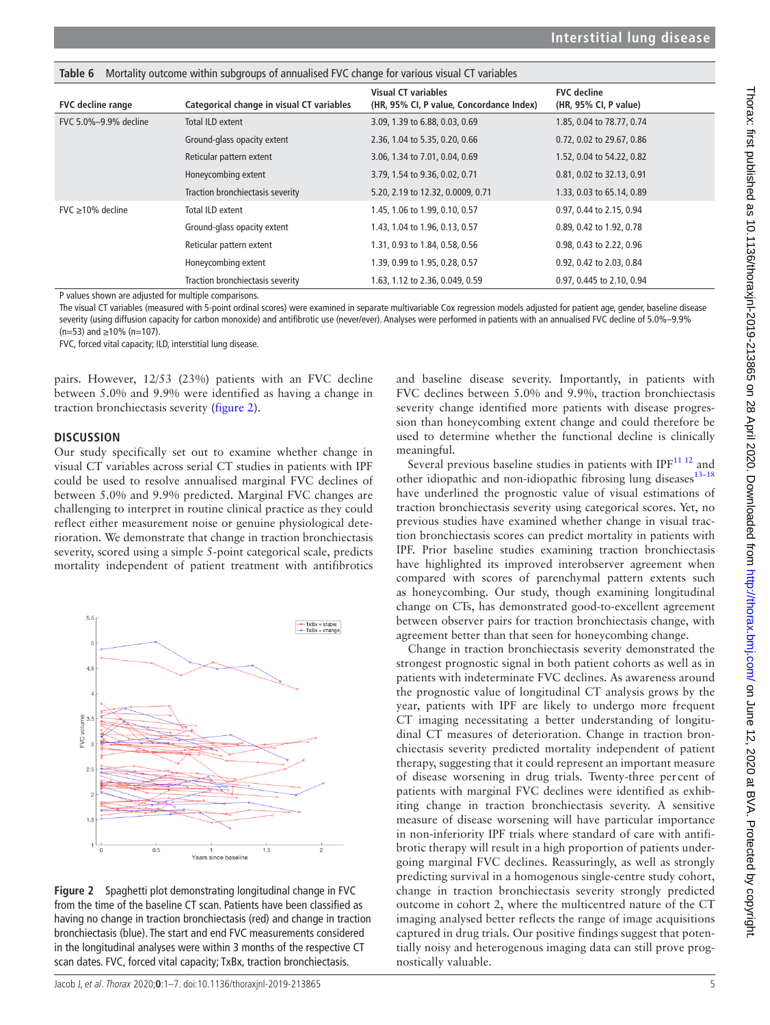| <b>FVC</b> decline range | Categorical change in visual CT variables | <b>Visual CT variables</b><br>(HR, 95% CI, P value, Concordance Index) | <b>FVC</b> decline<br>(HR, 95% CI, P value) |
|--------------------------|-------------------------------------------|------------------------------------------------------------------------|---------------------------------------------|
| FVC 5.0%-9.9% decline    | Total ILD extent                          | 3.09, 1.39 to 6.88, 0.03, 0.69                                         | 1.85, 0.04 to 78.77, 0.74                   |
|                          | Ground-glass opacity extent               | 2.36, 1.04 to 5.35, 0.20, 0.66                                         | 0.72, 0.02 to 29.67, 0.86                   |
|                          | Reticular pattern extent                  | 3.06, 1.34 to 7.01, 0.04, 0.69                                         | 1.52, 0.04 to 54.22, 0.82                   |
|                          | Honeycombing extent                       | 3.79, 1.54 to 9.36, 0.02, 0.71                                         | 0.81, 0.02 to 32.13, 0.91                   |
|                          | Traction bronchiectasis severity          | 5.20, 2.19 to 12.32, 0.0009, 0.71                                      | 1.33, 0.03 to 65.14, 0.89                   |
| $FVC \ge 10\%$ decline   | Total ILD extent                          | 1.45, 1.06 to 1.99, 0.10, 0.57                                         | 0.97, 0.44 to 2.15, 0.94                    |
|                          | Ground-glass opacity extent               | 1.43, 1.04 to 1.96, 0.13, 0.57                                         | 0.89, 0.42 to 1.92, 0.78                    |
|                          | Reticular pattern extent                  | 1.31, 0.93 to 1.84, 0.58, 0.56                                         | 0.98, 0.43 to 2.22, 0.96                    |
|                          | Honeycombing extent                       | 1.39, 0.99 to 1.95, 0.28, 0.57                                         | 0.92, 0.42 to 2.03, 0.84                    |
|                          | Traction bronchiectasis severity          | 1.63, 1.12 to 2.36, 0.049, 0.59                                        | 0.97, 0.445 to 2.10, 0.94                   |

<span id="page-4-0"></span>**Table 6** Mortality outcome within subgroups of annualised FVC change for various visual CT variables

P values shown are adjusted for multiple comparisons.

The visual CT variables (measured with 5-point ordinal scores) were examined in separate multivariable Cox regression models adjusted for patient age, gender, baseline disease severity (using diffusion capacity for carbon monoxide) and antifibrotic use (never/ever). Analyses were performed in patients with an annualised FVC decline of 5.0%-9.9%  $(n=53)$  and  $>10\%$  (n=107).

FVC, forced vital capacity; ILD, interstitial lung disease.

pairs. However, 12/53 (23%) patients with an FVC decline between 5.0% and 9.9% were identified as having a change in traction bronchiectasis severity [\(figure](#page-4-1) 2).

## **Discussion**

Our study specifically set out to examine whether change in visual CT variables across serial CT studies in patients with IPF could be used to resolve annualised marginal FVC declines of between 5.0% and 9.9% predicted. Marginal FVC changes are challenging to interpret in routine clinical practice as they could reflect either measurement noise or genuine physiological deterioration. We demonstrate that change in traction bronchiectasis severity, scored using a simple 5-point categorical scale, predicts mortality independent of patient treatment with antifibrotics



<span id="page-4-1"></span>**Figure 2** Spaghetti plot demonstrating longitudinal change in FVC from the time of the baseline CT scan. Patients have been classified as having no change in traction bronchiectasis (red) and change in traction bronchiectasis (blue). The start and end FVC measurements considered in the longitudinal analyses were within 3 months of the respective CT scan dates. FVC, forced vital capacity; TxBx, traction bronchiectasis.

and baseline disease severity. Importantly, in patients with FVC declines between 5.0% and 9.9%, traction bronchiectasis severity change identified more patients with disease progression than honeycombing extent change and could therefore be used to determine whether the functional decline is clinically meaningful.

Several previous baseline studies in patients with IPF $^{11}$   $^{12}$  and other idiopathic and non-idiopathic fibrosing lung diseases $13-18$ have underlined the prognostic value of visual estimations of traction bronchiectasis severity using categorical scores. Yet, no previous studies have examined whether change in visual traction bronchiectasis scores can predict mortality in patients with IPF. Prior baseline studies examining traction bronchiectasis have highlighted its improved interobserver agreement when compared with scores of parenchymal pattern extents such as honeycombing. Our study, though examining longitudinal change on CTs, has demonstrated good-to-excellent agreement between observer pairs for traction bronchiectasis change, with agreement better than that seen for honeycombing change.

Change in traction bronchiectasis severity demonstrated the strongest prognostic signal in both patient cohorts as well as in patients with indeterminate FVC declines. As awareness around the prognostic value of longitudinal CT analysis grows by the year, patients with IPF are likely to undergo more frequent CT imaging necessitating a better understanding of longitudinal CT measures of deterioration. Change in traction bronchiectasis severity predicted mortality independent of patient therapy, suggesting that it could represent an important measure of disease worsening in drug trials. Twenty-three per cent of patients with marginal FVC declines were identified as exhibiting change in traction bronchiectasis severity. A sensitive measure of disease worsening will have particular importance in non-inferiority IPF trials where standard of care with antifibrotic therapy will result in a high proportion of patients undergoing marginal FVC declines. Reassuringly, as well as strongly predicting survival in a homogenous single-centre study cohort, change in traction bronchiectasis severity strongly predicted outcome in cohort 2, where the multicentred nature of the CT imaging analysed better reflects the range of image acquisitions captured in drug trials. Our positive findings suggest that potentially noisy and heterogenous imaging data can still prove prognostically valuable.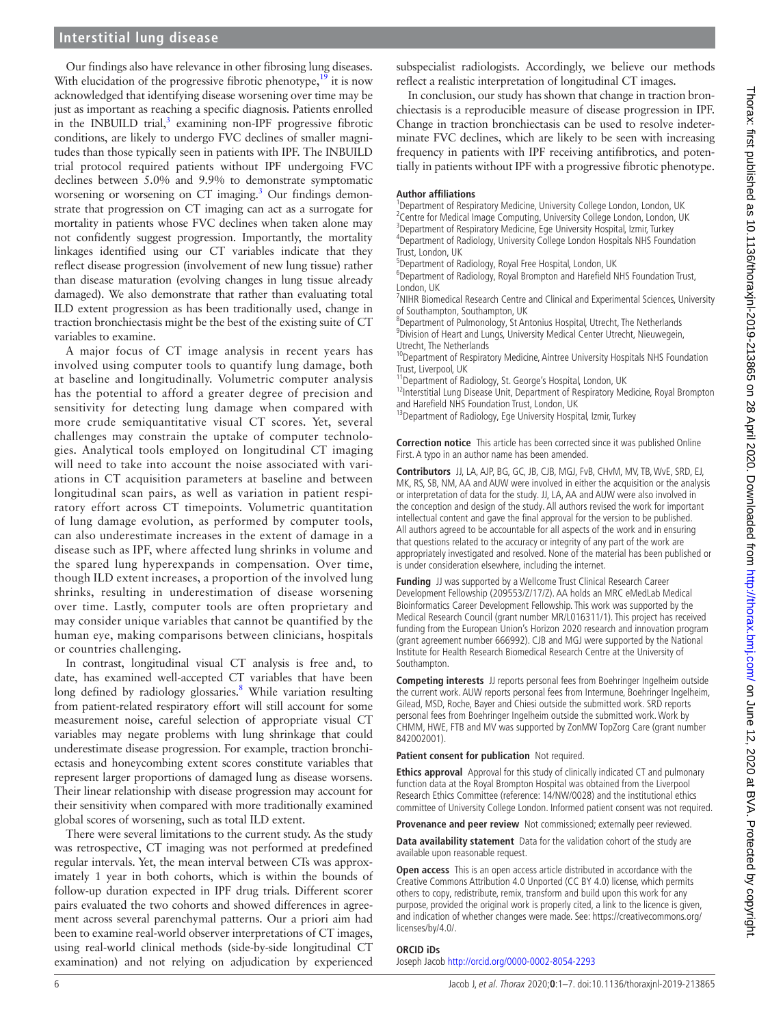# **Interstitial lung disease**

Our findings also have relevance in other fibrosing lung diseases. With elucidation of the progressive fibrotic phenotype, $19$  it is now acknowledged that identifying disease worsening over time may be just as important as reaching a specific diagnosis. Patients enrolled in the INBUILD trial, $3$  examining non-IPF progressive fibrotic conditions, are likely to undergo FVC declines of smaller magnitudes than those typically seen in patients with IPF. The INBUILD trial protocol required patients without IPF undergoing FVC declines between 5.0% and 9.9% to demonstrate symptomatic worsening or worsening on CT imaging.<sup>3</sup> Our findings demonstrate that progression on CT imaging can act as a surrogate for mortality in patients whose FVC declines when taken alone may not confidently suggest progression. Importantly, the mortality linkages identified using our CT variables indicate that they reflect disease progression (involvement of new lung tissue) rather than disease maturation (evolving changes in lung tissue already damaged). We also demonstrate that rather than evaluating total ILD extent progression as has been traditionally used, change in traction bronchiectasis might be the best of the existing suite of CT variables to examine.

A major focus of CT image analysis in recent years has involved using computer tools to quantify lung damage, both at baseline and longitudinally. Volumetric computer analysis has the potential to afford a greater degree of precision and sensitivity for detecting lung damage when compared with more crude semiquantitative visual CT scores. Yet, several challenges may constrain the uptake of computer technologies. Analytical tools employed on longitudinal CT imaging will need to take into account the noise associated with variations in CT acquisition parameters at baseline and between longitudinal scan pairs, as well as variation in patient respiratory effort across CT timepoints. Volumetric quantitation of lung damage evolution, as performed by computer tools, can also underestimate increases in the extent of damage in a disease such as IPF, where affected lung shrinks in volume and the spared lung hyperexpands in compensation. Over time, though ILD extent increases, a proportion of the involved lung shrinks, resulting in underestimation of disease worsening over time. Lastly, computer tools are often proprietary and may consider unique variables that cannot be quantified by the human eye, making comparisons between clinicians, hospitals or countries challenging.

In contrast, longitudinal visual CT analysis is free and, to date, has examined well-accepted CT variables that have been long defined by radiology glossaries.<sup>[8](#page-6-5)</sup> While variation resulting from patient-related respiratory effort will still account for some measurement noise, careful selection of appropriate visual CT variables may negate problems with lung shrinkage that could underestimate disease progression. For example, traction bronchiectasis and honeycombing extent scores constitute variables that represent larger proportions of damaged lung as disease worsens. Their linear relationship with disease progression may account for their sensitivity when compared with more traditionally examined global scores of worsening, such as total ILD extent.

There were several limitations to the current study. As the study was retrospective, CT imaging was not performed at predefined regular intervals. Yet, the mean interval between CTs was approximately 1 year in both cohorts, which is within the bounds of follow-up duration expected in IPF drug trials. Different scorer pairs evaluated the two cohorts and showed differences in agreement across several parenchymal patterns. Our a priori aim had been to examine real-world observer interpretations of CT images, using real-world clinical methods (side-by-side longitudinal CT examination) and not relying on adjudication by experienced

subspecialist radiologists. Accordingly, we believe our methods reflect a realistic interpretation of longitudinal CT images.

In conclusion, our study has shown that change in traction bronchiectasis is a reproducible measure of disease progression in IPF. Change in traction bronchiectasis can be used to resolve indeterminate FVC declines, which are likely to be seen with increasing frequency in patients with IPF receiving antifibrotics, and potentially in patients without IPF with a progressive fibrotic phenotype.

#### **Author affiliations**

<sup>1</sup>Department of Respiratory Medicine. University College London. London. UK <sup>1</sup> Department of Respiratory Medicine, University College London, London, UK<br><sup>2</sup>Centre for Medical Image Computing, University College London, London, UK <sup>2</sup>Centre for Medical Image Computing, University College London, London, UK<br><sup>3</sup>Department of Perpiratory Medicine, Ego University Herpital Izmir Turkey <sup>3</sup> Department of Respiratory Medicine, Ege University Hospital, Izmir, Turkey Department of Radiology, University College London Hospitals NHS Foundation Trust, London, UK <sup>5</sup> <sup>5</sup>Department of Radiology, Royal Free Hospital, London, UK Department of Radiology, Royal Brompton and Harefield NHS Foundation Trust, London, UK <sup>7</sup> NIHR Biomedical Research Centre and Clinical and Experimental Sciences, University of Southampton, Southampton, UK <sup>8</sup> <sup>3</sup>Department of Pulmonology, St Antonius Hospital, Utrecht, The Netherlands <sup>9</sup>Division of Heart and Lungs, University Medical Center Utrecht, Nieuwegein,<br>Utrecht. The Netherlands <sup>10</sup>Department of Respiratory Medicine, Aintree University Hospitals NHS Foundation<br>Trust, Liverpool, UK <sup>11</sup> Department of Radiology, St. George's Hospital, London, UK <sup>12</sup>Interstitial Lung Disease Unit, Department of Respiratory Medicine, Royal Brompton and Harefield NHS Foundation Trust. London. UK <sup>13</sup> Department of Radiology, Ege University Hospital, Izmir, Turkey **Correction notice** This article has been corrected since it was published Online First. A typo in an author name has been amended. **Contributors** JJ, LA, AJP, BG, GC, JB, CJB, MGJ, FvB, CHvM, MV, TB, WvE, SRD, EJ, MK, RS, SB, NM, AA and AUW were involved in either the acquisition or the analysis or interpretation of data for the study. JJ, LA, AA and AUW were also involved in the conception and design of the study. All authors revised the work for important intellectual content and gave the final approval for the version to be published. All authors agreed to be accountable for all aspects of the work and in ensuring that questions related to the accuracy or integrity of any part of the work are appropriately investigated and resolved. None of the material has been published or is under consideration elsewhere, including the internet.

**Funding** JJ was supported by a Wellcome Trust Clinical Research Career Development Fellowship (209553/Z/17/Z). AA holds an MRC eMedLab Medical Bioinformatics Career Development Fellowship. This work was supported by the Medical Research Council (grant number MR/L016311/1). This project has received funding from the European Union's Horizon 2020 research and innovation program (grant agreement number 666992). CJB and MGJ were supported by the National Institute for Health Research Biomedical Research Centre at the University of Southampton.

**Competing interests** JJ reports personal fees from Boehringer Ingelheim outside the current work. AUW reports personal fees from Intermune, Boehringer Ingelheim, Gilead, MSD, Roche, Bayer and Chiesi outside the submitted work. SRD reports personal fees from Boehringer Ingelheim outside the submitted work. Work by CHMM, HWE, FTB and MV was supported by ZonMW TopZorg Care (grant number 842002001).

**Patient consent for publication** Not required.

**Ethics approval** Approval for this study of clinically indicated CT and pulmonary function data at the Royal Brompton Hospital was obtained from the Liverpool Research Ethics Committee (reference: 14/NW/0028) and the institutional ethics committee of University College London. Informed patient consent was not required.

**Provenance and peer review** Not commissioned; externally peer reviewed.

**Data availability statement** Data for the validation cohort of the study are available upon reasonable request.

**Open access** This is an open access article distributed in accordance with the Creative Commons Attribution 4.0 Unported (CC BY 4.0) license, which permits others to copy, redistribute, remix, transform and build upon this work for any purpose, provided the original work is properly cited, a link to the licence is given, and indication of whether changes were made. See: [https://creativecommons.org/](https://creativecommons.org/licenses/by/4.0/) [licenses/by/4.0/.](https://creativecommons.org/licenses/by/4.0/)

#### **ORCID iDs**

Joseph Jacob<http://orcid.org/0000-0002-8054-2293>